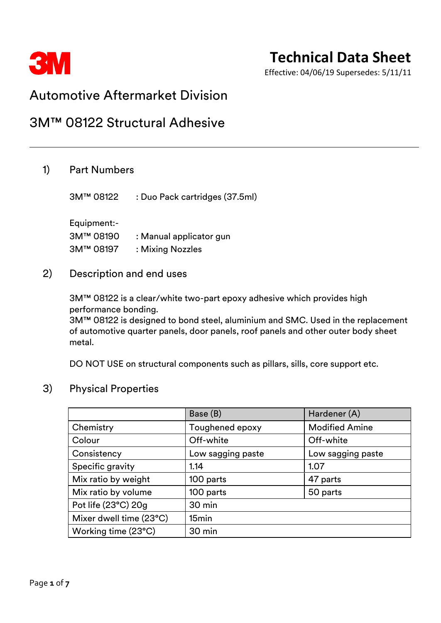

Effective: 04/06/19 Supersedes: 5/11/11

### Automotive Aftermarket Division

### 3M™ 08122 Structural Adhesive

### 1) Part Numbers

3M™ 08122 : Duo Pack cartridges (37.5ml)

Equipment:- 3M™ 08190 : Manual applicator gun 3M™ 08197 : Mixing Nozzles

### 2) Description and end uses

3M™ 08122 is a clear/white two-part epoxy adhesive which provides high performance bonding.

3M™ 08122 is designed to bond steel, aluminium and SMC. Used in the replacement of automotive quarter panels, door panels, roof panels and other outer body sheet metal.

DO NOT USE on structural components such as pillars, sills, core support etc.

### 3) Physical Properties

|                         | Base (B)          | Hardener (A)          |
|-------------------------|-------------------|-----------------------|
| Chemistry               | Toughened epoxy   | <b>Modified Amine</b> |
| Colour                  | Off-white         | Off-white             |
| Consistency             | Low sagging paste | Low sagging paste     |
| Specific gravity        | 1.14              | 1.07                  |
| Mix ratio by weight     | 100 parts         | 47 parts              |
| Mix ratio by volume     | 100 parts         | 50 parts              |
| Pot life (23°C) 20g     | 30 min            |                       |
| Mixer dwell time (23°C) | 15min             |                       |
| Working time (23°C)     | 30 min            |                       |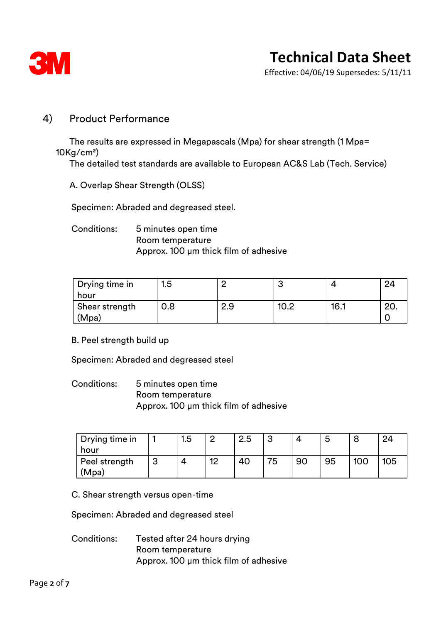

Effective: 04/06/19 Supersedes: 5/11/11

### 4) Product Performance

The results are expressed in Megapascals (Mpa) for shear strength (1 Mpa= 10Kg/cm²)

The detailed test standards are available to European AC&S Lab (Tech. Service)

A. Overlap Shear Strength (OLSS)

Specimen: Abraded and degreased steel.

### Conditions: 5 minutes open time Room temperature Approx. 100 µm thick film of adhesive

| Drying time in   | l.5 |     | ີ    |      |     |
|------------------|-----|-----|------|------|-----|
| hour             |     |     |      |      |     |
| ∣ Shear strength | 0.8 | 2.9 | 10.2 | 16.1 | ZU. |
| 'Mpa)            |     |     |      |      |     |

B. Peel strength build up

Specimen: Abraded and degreased steel

Conditions: 5 minutes open time Room temperature Approx. 100 µm thick film of adhesive

| Drying time in<br>hour |   | 1.5 |    | 2.5 | ົ  |    | ∽<br>$\sim$ |     | 24  |
|------------------------|---|-----|----|-----|----|----|-------------|-----|-----|
| Peel strength<br>'Mpa) | ບ |     | 10 | 40  | 75 | 90 | 95          | 100 | 105 |

C. Shear strength versus open-time

Specimen: Abraded and degreased steel

Conditions: Tested after 24 hours drying Room temperature Approx. 100 µm thick film of adhesive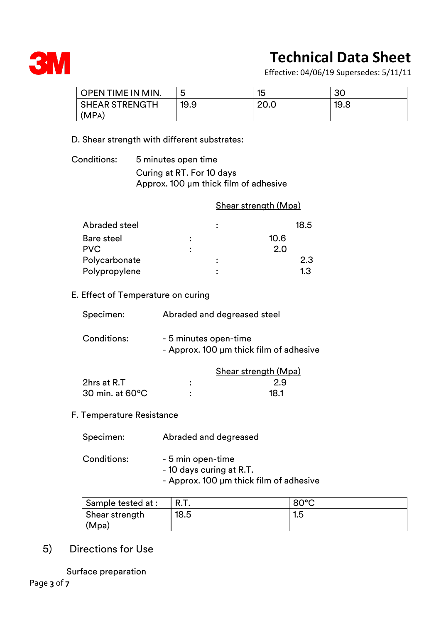

Effective: 04/06/19 Supersedes: 5/11/11

| <b>OPEN TIME IN MIN.</b> | ∽<br>w | 15   | 30   |
|--------------------------|--------|------|------|
| <b>SHEAR STRENGTH</b>    | 19.9   | 20.0 | 19.8 |
| (MPA)                    |        |      |      |

#### D. Shear strength with different substrates:

Conditions: 5 minutes open time Curing at RT. For 10 days Approx. 100 µm thick film of adhesive

#### Shear strength (Mpa)

| Abraded steel     |   | 18.5 |
|-------------------|---|------|
| <b>Bare steel</b> | : | 10.6 |
| <b>PVC</b>        | : | 2.0  |
| Polycarbonate     |   | 2.3  |
| Polypropylene     |   | 1.3  |

### E. Effect of Temperature on curing

| Specimen:   | Abraded and degreased steel                                      |
|-------------|------------------------------------------------------------------|
| Conditions: | - 5 minutes open-time<br>- Approx. 100 µm thick film of adhesive |
|             | <b>Shear strength (Mpa)</b>                                      |
| 2hrs at R.T | ٠                                                                |

30 min. at 60ºC : 18.1

# F. Temperature Resistance

| Specimen: | Abraded and degreased |
|-----------|-----------------------|

| Conditions: | - 5 min open-time                       |
|-------------|-----------------------------------------|
|             | - 10 days curing at R.T.                |
|             | - Approx. 100 µm thick film of adhesive |

| Sample tested at : |      | $80^{\circ}$ C |
|--------------------|------|----------------|
| Shear strength     | 18.5 | 1.5            |
| (Mpa)              |      |                |

### 5) Directions for Use

Surface preparation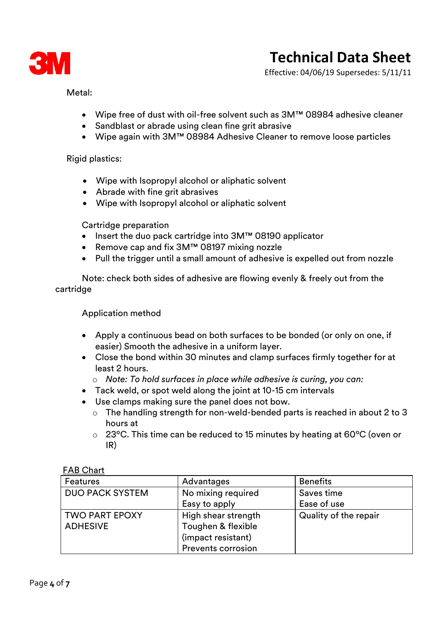

Effective: 04/06/19 Supersedes: 5/11/11

Metal:

- Wipe free of dust with oil-free solvent such as 3M™ 08984 adhesive cleaner
- Sandblast or abrade using clean fine grit abrasive
- Wipe again with 3M™ 08984 Adhesive Cleaner to remove loose particles

Rigid plastics:

- Wipe with Isopropyl alcohol or aliphatic solvent
- Abrade with fine grit abrasives
- Wipe with Isopropyl alcohol or aliphatic solvent

Cartridge preparation

- Insert the duo pack cartridge into 3M™ 08190 applicator
- Remove cap and fix 3M™ 08197 mixing nozzle
- Pull the trigger until a small amount of adhesive is expelled out from nozzle

Note: check both sides of adhesive are flowing evenly & freely out from the cartridge

Application method

- Apply a continuous bead on both surfaces to be bonded (or only on one, if easier) Smooth the adhesive in a uniform layer.
- Close the bond within 30 minutes and clamp surfaces firmly together for at least 2 hours.
	- o *Note: To hold surfaces in place while adhesive is curing, you can:*
- Tack weld, or spot weld along the joint at 10-15 cm intervals
- Use clamps making sure the panel does not bow.
	- o The handling strength for non-weld-bended parts is reached in about 2 to 3 hours at
	- o 23°C. This time can be reduced to 15 minutes by heating at 60°C (oven or IR)

| Features               | Advantages                | <b>Benefits</b>       |
|------------------------|---------------------------|-----------------------|
| <b>DUO PACK SYSTEM</b> | No mixing required        | Saves time            |
|                        | Easy to apply             | Ease of use           |
| TWO PART EPOXY         | High shear strength       | Quality of the repair |
| <b>ADHESIVE</b>        | Toughen & flexible        |                       |
|                        | (impact resistant)        |                       |
|                        | <b>Prevents corrosion</b> |                       |

#### FAB Chart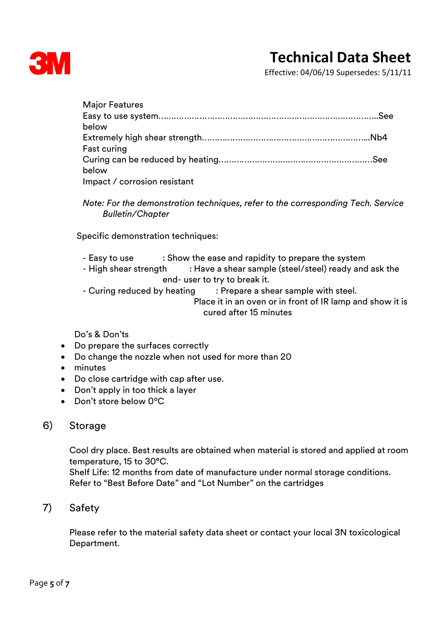

Effective: 04/06/19 Supersedes: 5/11/11

| <b>Major Features</b>        |  |
|------------------------------|--|
|                              |  |
| below                        |  |
|                              |  |
| Fast curing                  |  |
|                              |  |
| below                        |  |
| Impact / corrosion resistant |  |

*Note: For the demonstration techniques, refer to the corresponding Tech. Service Bulletin/Chapter*

Specific demonstration techniques:

- Easy to use : Show the ease and rapidity to prepare the system
- High shear strength : Have a shear sample (steel/steel) ready and ask the end- user to try to break it.
- Curing reduced by heating : Prepare a shear sample with steel.

 Place it in an oven or in front of IR lamp and show it is cured after 15 minutes

Do's & Don'ts

- Do prepare the surfaces correctly
- Do change the nozzle when not used for more than 20
- minutes
- Do close cartridge with cap after use.
- Don't apply in too thick a layer
- Don't store below 0ºC

### 6) Storage

Cool dry place. Best results are obtained when material is stored and applied at room temperature, 15 to 30°C.

Shelf Life: 12 months from date of manufacture under normal storage conditions. Refer to "Best Before Date" and "Lot Number" on the cartridges

### 7) Safety

Please refer to the material safety data sheet or contact your local 3N toxicological Department.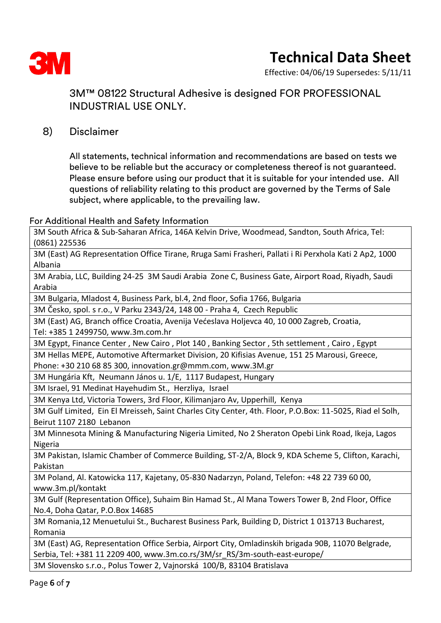

Effective: 04/06/19 Supersedes: 5/11/11

### 3M™ 08122 Structural Adhesive is designed FOR PROFESSIONAL INDUSTRIAL USE ONLY.

### 8) Disclaimer

All statements, technical information and recommendations are based on tests we believe to be reliable but the accuracy or completeness thereof is not guaranteed. Please ensure before using our product that it is suitable for your intended use. All questions of reliability relating to this product are governed by the Terms of Sale subject, where applicable, to the prevailing law.

#### For Additional Health and Safety Information

3M South Africa & Sub-Saharan Africa, 146A Kelvin Drive, Woodmead, Sandton, South Africa, Tel: (0861) 225536

3M (East) AG Representation Office Tirane, Rruga Sami Frasheri, Pallati i Ri Perxhola Kati 2 Ap2, 1000 Albania

3M Arabia, LLC, Building 24-25 3M Saudi Arabia Zone C, Business Gate, Airport Road, Riyadh, Saudi Arabia

3M Bulgaria, Mladost 4, Business Park, bl.4, 2nd floor, Sofia 1766, Bulgaria

3M Česko, spol. s r.o., V Parku 2343/24, 148 00 - Praha 4, Czech Republic

3M (East) AG, Branch office Croatia, Avenija Većeslava Holjevca 40, 10 000 Zagreb, Croatia, Tel: +385 1 2499750, www.3m.com.hr

3M Egypt, Finance Center , New Cairo , Plot 140 , Banking Sector , 5th settlement , Cairo , Egypt

3M Hellas MEPE, Automotive Aftermarket Division, 20 Kifisias Avenue, 151 25 Marousi, Greece, Phone: +30 210 68 85 300, innovation.gr@mmm.com, www.3M.gr

3M Hungária Kft, Neumann János u. 1/E, 1117 Budapest, Hungary

3M Israel, 91 Medinat Hayehudim St., Herzliya, Israel

3M Kenya Ltd, Victoria Towers, 3rd Floor, Kilimanjaro Av, Upperhill, Kenya

3M Gulf Limited, Ein El Mreisseh, Saint Charles City Center, 4th. Floor, P.O.Box: 11-5025, Riad el Solh, Beirut 1107 2180 Lebanon

3M Minnesota Mining & Manufacturing Nigeria Limited, No 2 Sheraton Opebi Link Road, Ikeja, Lagos Nigeria

3M Pakistan, Islamic Chamber of Commerce Building, ST-2/A, Block 9, KDA Scheme 5, Clifton, Karachi, Pakistan

3M Poland, Al. Katowicka 117, Kajetany, 05-830 Nadarzyn, Poland, Telefon: +48 22 739 60 00, www.3m.pl/kontakt

3M Gulf (Representation Office), Suhaim Bin Hamad St., Al Mana Towers Tower B, 2nd Floor, Office No.4, Doha Qatar, P.O.Box 14685

3M Romania,12 Menuetului St., Bucharest Business Park, Building D, District 1 013713 Bucharest, Romania

3M (East) AG, Representation Office Serbia, Airport City, Omladinskih brigada 90B, 11070 Belgrade, Serbia, Tel: +381 11 2209 400, www.3m.co.rs/3M/sr\_RS/3m-south-east-europe/

3M Slovensko s.r.o., Polus Tower 2, Vajnorská 100/B, 83104 Bratislava